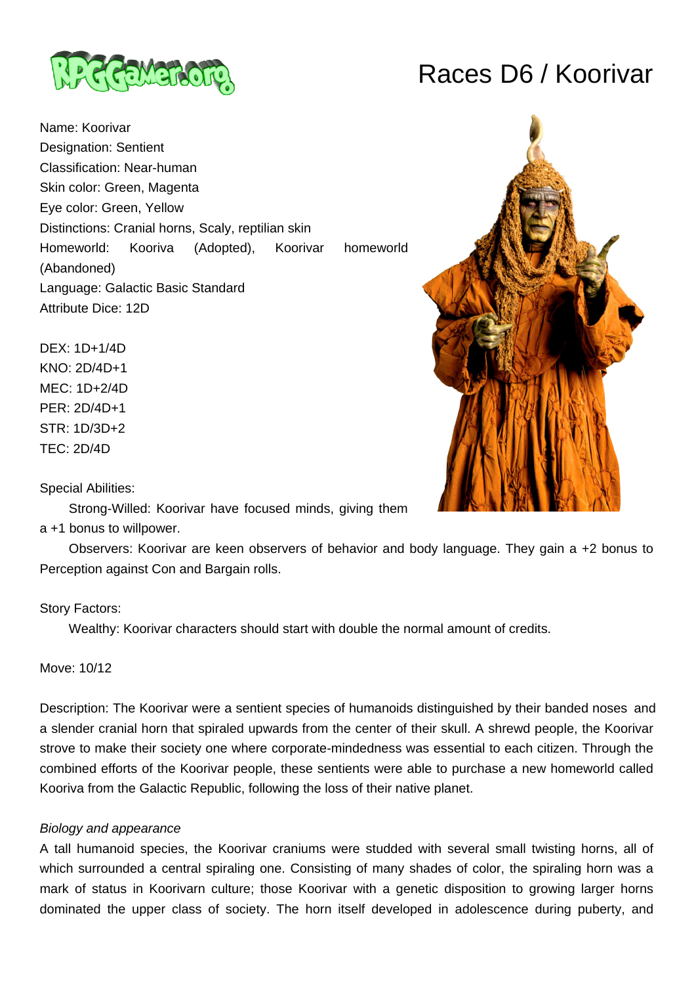

Name: Koorivar Designation: Sentient Classification: Near-human Skin color: Green, Magenta Eye color: Green, Yellow Distinctions: Cranial horns, Scaly, reptilian skin Homeworld: Kooriva (Adopted), Koorivar homeworld (Abandoned)

Language: Galactic Basic Standard Attribute Dice: 12D

DEX: 1D+1/4D KNO: 2D/4D+1 MEC: 1D+2/4D PER: 2D/4D+1 STR: 1D/3D+2 TEC: 2D/4D

Special Abilities:

Strong-Willed: Koorivar have focused minds, giving them

## a +1 bonus to willpower.

 Observers: Koorivar are keen observers of behavior and body language. They gain a +2 bonus to Perception against Con and Bargain rolls.

## Story Factors:

Wealthy: Koorivar characters should start with double the normal amount of credits.

Move: 10/12

Description: The Koorivar were a sentient species of humanoids distinguished by their banded noses and a slender cranial horn that spiraled upwards from the center of their skull. A shrewd people, the Koorivar strove to make their society one where corporate-mindedness was essential to each citizen. Through the combined efforts of the Koorivar people, these sentients were able to purchase a new homeworld called Kooriva from the Galactic Republic, following the loss of their native planet.

## Biology and appearance

A tall humanoid species, the Koorivar craniums were studded with several small twisting horns, all of which surrounded a central spiraling one. Consisting of many shades of color, the spiraling horn was a mark of status in Koorivarn culture; those Koorivar with a genetic disposition to growing larger horns dominated the upper class of society. The horn itself developed in adolescence during puberty, and

# Races D6 / Koorivar

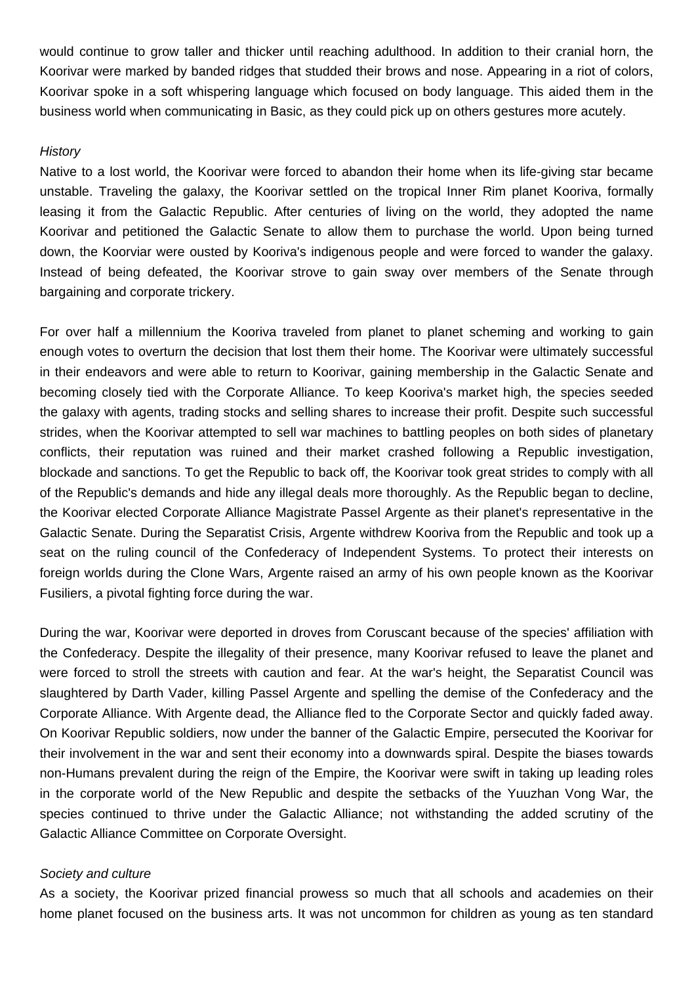would continue to grow taller and thicker until reaching adulthood. In addition to their cranial horn, the Koorivar were marked by banded ridges that studded their brows and nose. Appearing in a riot of colors, Koorivar spoke in a soft whispering language which focused on body language. This aided them in the business world when communicating in Basic, as they could pick up on others gestures more acutely.

### **History**

Native to a lost world, the Koorivar were forced to abandon their home when its life-giving star became unstable. Traveling the galaxy, the Koorivar settled on the tropical Inner Rim planet Kooriva, formally leasing it from the Galactic Republic. After centuries of living on the world, they adopted the name Koorivar and petitioned the Galactic Senate to allow them to purchase the world. Upon being turned down, the Koorviar were ousted by Kooriva's indigenous people and were forced to wander the galaxy. Instead of being defeated, the Koorivar strove to gain sway over members of the Senate through bargaining and corporate trickery.

For over half a millennium the Kooriva traveled from planet to planet scheming and working to gain enough votes to overturn the decision that lost them their home. The Koorivar were ultimately successful in their endeavors and were able to return to Koorivar, gaining membership in the Galactic Senate and becoming closely tied with the Corporate Alliance. To keep Kooriva's market high, the species seeded the galaxy with agents, trading stocks and selling shares to increase their profit. Despite such successful strides, when the Koorivar attempted to sell war machines to battling peoples on both sides of planetary conflicts, their reputation was ruined and their market crashed following a Republic investigation, blockade and sanctions. To get the Republic to back off, the Koorivar took great strides to comply with all of the Republic's demands and hide any illegal deals more thoroughly. As the Republic began to decline, the Koorivar elected Corporate Alliance Magistrate Passel Argente as their planet's representative in the Galactic Senate. During the Separatist Crisis, Argente withdrew Kooriva from the Republic and took up a seat on the ruling council of the Confederacy of Independent Systems. To protect their interests on foreign worlds during the Clone Wars, Argente raised an army of his own people known as the Koorivar Fusiliers, a pivotal fighting force during the war.

During the war, Koorivar were deported in droves from Coruscant because of the species' affiliation with the Confederacy. Despite the illegality of their presence, many Koorivar refused to leave the planet and were forced to stroll the streets with caution and fear. At the war's height, the Separatist Council was slaughtered by Darth Vader, killing Passel Argente and spelling the demise of the Confederacy and the Corporate Alliance. With Argente dead, the Alliance fled to the Corporate Sector and quickly faded away. On Koorivar Republic soldiers, now under the banner of the Galactic Empire, persecuted the Koorivar for their involvement in the war and sent their economy into a downwards spiral. Despite the biases towards non-Humans prevalent during the reign of the Empire, the Koorivar were swift in taking up leading roles in the corporate world of the New Republic and despite the setbacks of the Yuuzhan Vong War, the species continued to thrive under the Galactic Alliance; not withstanding the added scrutiny of the Galactic Alliance Committee on Corporate Oversight.

### Society and culture

As a society, the Koorivar prized financial prowess so much that all schools and academies on their home planet focused on the business arts. It was not uncommon for children as young as ten standard